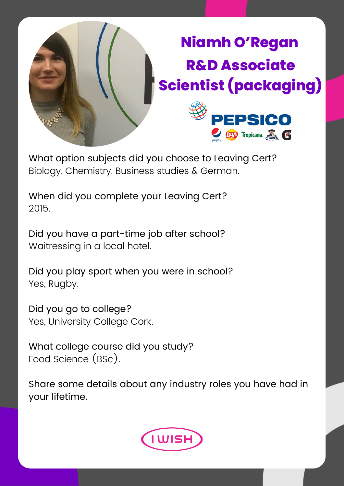

What option subjects did you choose to Leaving Cert? Biology, Chemistry, Business studies & German.

When did you complete your Leaving Cert? 2015.

Did you have a part-time job after school? Waitressing in a local hotel.

Did you play sport when you were in school? Yes, Rugby.

Did you go to college? Yes, University College Cork.

What college course did you study? Food Science (BSc).

Share some details about any industry roles you have had in your lifetime.